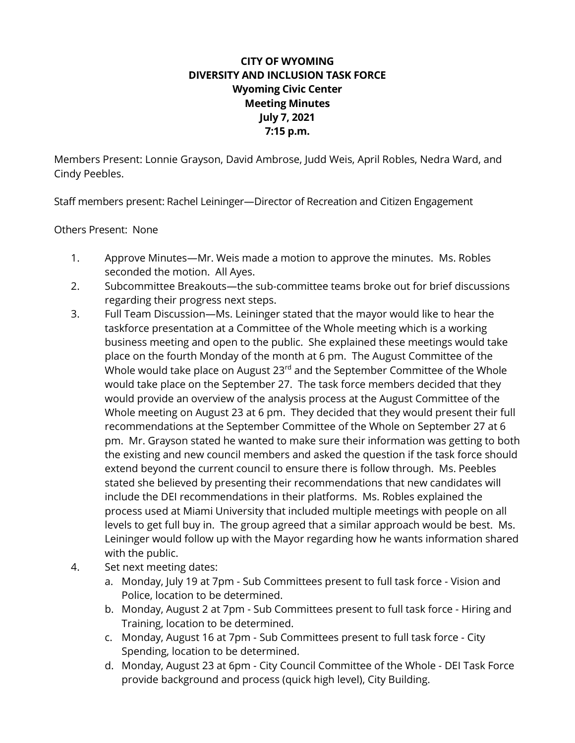## **CITY OF WYOMING DIVERSITY AND INCLUSION TASK FORCE Wyoming Civic Center Meeting Minutes July 7, 2021 7:15 p.m.**

Members Present: Lonnie Grayson, David Ambrose, Judd Weis, April Robles, Nedra Ward, and Cindy Peebles.

Staff members present: Rachel Leininger—Director of Recreation and Citizen Engagement

Others Present: None

- 1. Approve Minutes—Mr. Weis made a motion to approve the minutes. Ms. Robles seconded the motion. All Ayes.
- 2. Subcommittee Breakouts—the sub-committee teams broke out for brief discussions regarding their progress next steps.
- 3. Full Team Discussion—Ms. Leininger stated that the mayor would like to hear the taskforce presentation at a Committee of the Whole meeting which is a working business meeting and open to the public. She explained these meetings would take place on the fourth Monday of the month at 6 pm. The August Committee of the Whole would take place on August 23<sup>rd</sup> and the September Committee of the Whole would take place on the September 27. The task force members decided that they would provide an overview of the analysis process at the August Committee of the Whole meeting on August 23 at 6 pm. They decided that they would present their full recommendations at the September Committee of the Whole on September 27 at 6 pm. Mr. Grayson stated he wanted to make sure their information was getting to both the existing and new council members and asked the question if the task force should extend beyond the current council to ensure there is follow through. Ms. Peebles stated she believed by presenting their recommendations that new candidates will include the DEI recommendations in their platforms. Ms. Robles explained the process used at Miami University that included multiple meetings with people on all levels to get full buy in. The group agreed that a similar approach would be best. Ms. Leininger would follow up with the Mayor regarding how he wants information shared with the public.
- 4. Set next meeting dates:
	- a. Monday, July 19 at 7pm Sub Committees present to full task force Vision and Police, location to be determined.
	- b. Monday, August 2 at 7pm Sub Committees present to full task force Hiring and Training, location to be determined.
	- c. Monday, August 16 at 7pm Sub Committees present to full task force City Spending, location to be determined.
	- d. Monday, August 23 at 6pm City Council Committee of the Whole DEI Task Force provide background and process (quick high level), City Building.